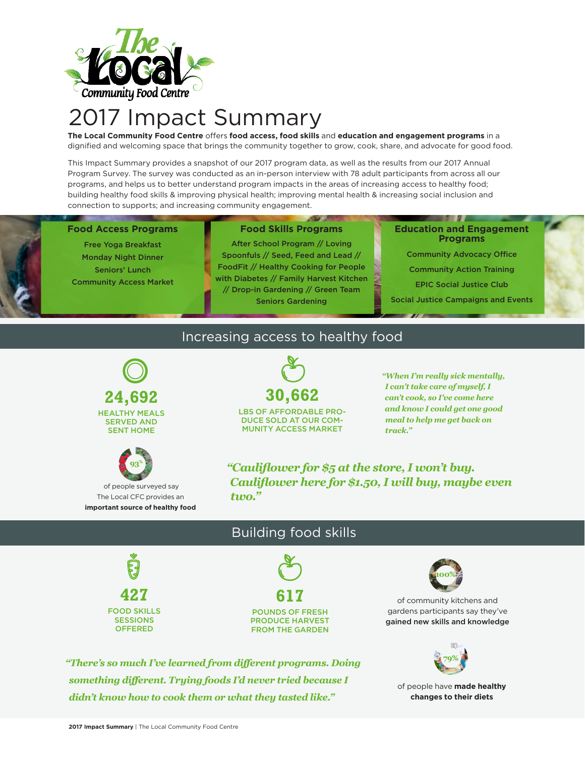

# 2017 Impact Summary

**The Local Community Food Centre** offers **food access, food skills** and **education and engagement programs** in a dignified and welcoming space that brings the community together to grow, cook, share, and advocate for good food.

This Impact Summary provides a snapshot of our 2017 program data, as well as the results from our 2017 Annual Program Survey. The survey was conducted as an in-person interview with 78 adult participants from across all our programs, and helps us to better understand program impacts in the areas of increasing access to healthy food; building healthy food skills & improving physical health; improving mental health & increasing social inclusion and connection to supports; and increasing community engagement.

#### **Food Access Programs**

Free Yoga Breakfast Monday Night Dinner Seniors' Lunch Community Access Market

#### **Food Skills Programs**

After School Program // Loving Spoonfuls // Seed, Feed and Lead // FoodFit // Healthy Cooking for People with Diabetes // Family Harvest Kitchen // Drop-in Gardening // Green Team Seniors Gardening

#### **Education and Engagement Programs**

Community Advocacy Office

Community Action Training

EPIC Social Justice Club

Social Justice Campaigns and Events

### Increasing access to healthy food





 of people surveyed say The Local CFC provides an **important source of healthy food**



LBS OF AFFORDABLE PRO-DUCE SOLD AT OUR COM-MUNITY ACCESS MARKET

*"When I'm really sick mentally, I can't take care of myself, I can't cook, so I've come here and know I could get one good meal to help me get back on track."*

*"Cauliflower for \$5 at the store, I won't buy. Cauliflower here for \$1.50, I will buy, maybe even two."*

## **427** FOOD SKILLS SESSIONS **OFFERED**



Building food skills

PRODUCE HARVEST FROM THE GARDEN



of community kitchens and gardens participants say they've gained new skills and knowledge



of people have **made healthy changes to their diets**

*"There's so much I've learned from different programs. Doing something different. Trying foods I'd never tried because I didn't know how to cook them or what they tasted like."*